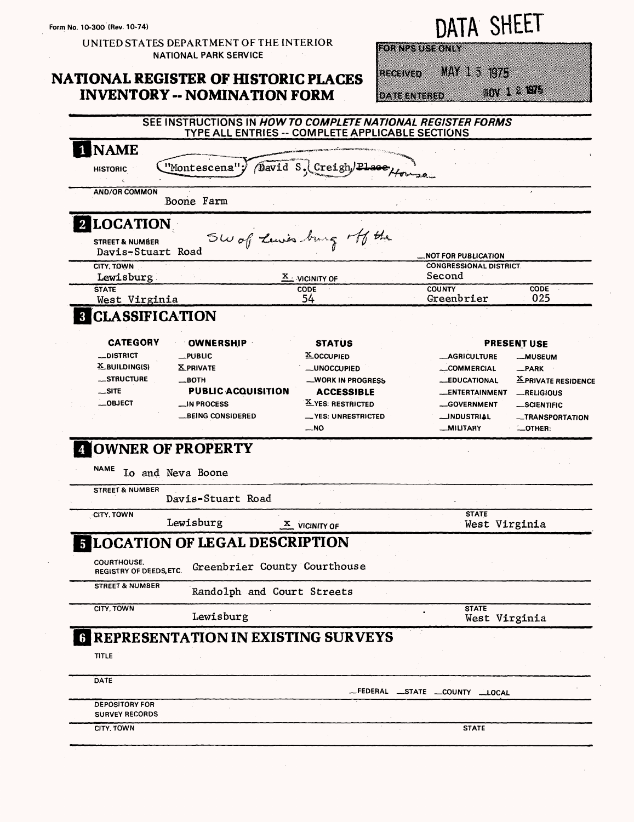#### UNITED STATES DEPARTMENT OF THE INTERIOR **NATIONAL PARK SERVICE**

### **NATIONAL REGISTER OF HISTORIC PLACES INVENTORY -- NOMINATION FORM**

# **ATA SHEET**

**ETRY EXPERIENCE** 

MAN 1 3 1975 iterium

**DATE ENTERED** 

DV 14 975 SEE INSTRUCTIONS IN HOW TO COMPLETE NATIONAL REGISTER FORMS TYPE ALL ENTRIES -- COMPLETE APPLICABLE SECTIONS **NAME** Creigh/Place, "Montescena"  $\sqrt{a}$ avid S.( **HISTORIC AND/OR COMMON** Boone Farm 2 LOCATION Sw of Luis burg off the **STREET & NUMBER** Davis-Stuart Road **NOT FOR PUBLICATION CITY, TOWN CONGRESSIONAL DISTRICT.** Lewisburg Second X VICINITY OF **COUNTY** CODE **CODE STATE** West Virginia 54 Greenbrier 025 **CLASSIFICATION CATEGORY OWNERSHIP STATUS PRESENT USE \_DISTRICT PUBLIC X\_OCCUPIED** -AGRICULTURE -MUSEUM X\_BUILDING(S) **XPRIVATE** -UNOCCUPIED \_COMMERCIAL  $-$ PARK \_STRUCTURE  $\_$ BOTH \_WORK IN PROGRESS -EDUCATIONAL X PRIVATE RESIDENCE  $-SITE$ **PUBLIC ACQUISITION ACCESSIBLE** \_ENTERTAINMENT -RELIGIOUS  $-$ OBJECT \_IN PROCESS X YES: RESTRICTED -GOVERNMENT -SCIENTIFIC **BEING CONSIDERED** \_\_ YES: UNRESTRICTED \_INDUSTRIAL -TRANSPORTATION  $-NO$ \_MILITARY **LOTHER: NOWNER OF PROPERTY NAME** Io and Neva Boone **STREET & NUMBER** Davis-Stuart Road CITY, TOWN **STATE** Lewisburg West Virginia  $\frac{\mathbf{X}}{\mathbf{A}}$  VICINITY OF **LOCATION OF LEGAL DESCRIPTION** COURTHOUSE. Greenbrier County Courthouse **REGISTRY OF DEEDS, ETC. STREET & NUMBER** Randolph and Court Streets CITY, TOWN **STATE** Lewisburg West Virginia **G REPRESENTATION IN EXISTING SURVEYS TITLE** DATE

| - -                                            |  | FEDERAL __STATE __COUNTY | $\_$ LOCAL |  |
|------------------------------------------------|--|--------------------------|------------|--|
| <b>DEPOSITORY FOR</b><br><b>SURVEY RECORDS</b> |  |                          |            |  |
| CITY, TOWN                                     |  | <b>STATE</b>             |            |  |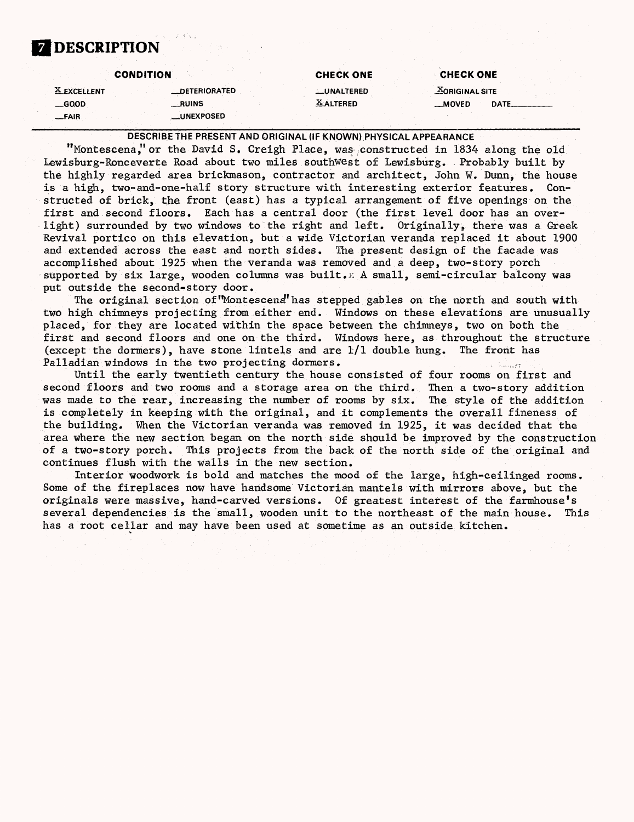## **7 DESCRIPTION**

|               | <b>CONDITION</b>     | <b>CHECK ONE</b> | <b>CHECK ONE</b>  |
|---------------|----------------------|------------------|-------------------|
| X EXCELLENT   | <b>_DETERIORATED</b> | __UNALTERED      | $X$ ORIGINAL SITE |
| $\equiv$ GOOD | __RUINS              | <b>XALTERED</b>  | DATE.<br>__MOVED  |
| __FAIR        | <b>LUNEXPOSED</b>    |                  |                   |

DESCRIBE THE PRESENT AND ORIGINAL (IF KNOWN) PHYSICAL APPEARANCE

"Montescena," or the David S. Creigh Place, was constructed in 1834 along the old Lewisburg-Ronceverte Road about two miles southwest of Lewisburg. Probably built by the highly regarded area brickmason, contractor and architect, John W. Dunn, the house is a high, two-and-one-half story structure with interesting exterior features. Constructed of brick, the front (east) has a typical arrangement of five openings on the first and second floors. Each has a central door (the first level door has an overlight) surrounded by two windows to the right and left. Originally, there was a Greek Revival portico on this elevation, but a wide Victorian veranda replaced it about 1900 and extended across the east and north sides. The present design of the facade was accomplished about 1925 when the veranda was removed and a deep, two-story porch supported by six large, wooden columns was built. A small, semi-circular balcony was put outside the second-story door.

The original section of"Montescena"has stepped gables on the north and south with two high chimneys projecting from either end. Windows on these elevations are unusually placed, for they are located within the space between the chimneys, two on both the first and second floors and one on the third. Windows here, as throughout the structure (except the dormers), have stone lintels and are 1/1 double hung. The front has Palladian windows in the two projecting dormers.

Until the early twentieth century the house consisted of four rooms on first and second floors and two rooms and a storage area on the third. Then a two-story addition was made to the rear, increasing the number of rooms by six. The style of the addition is completely in keeping with the original, and it complements the overall fineness of the building. When the Victorian veranda was removed in 1925, it was decided that the area where the new section began on the north side should be improved by the construction of a two-story porch. This projects from the back of the north side of the original and continues flush with the walls in the new section.

Interior woodwork is bold and matches the mood of the large, high-ceilinged rooms. Some of the fireplaces now have handsome Victorian mantels with mirrors above, but the originals were massive, hand-carved versions. Of greatest interest of the farmhouse's several dependencies is the small, wooden unit to the northeast of the main house. This has a root cellar and may have been used at sometime as an outside kitchen.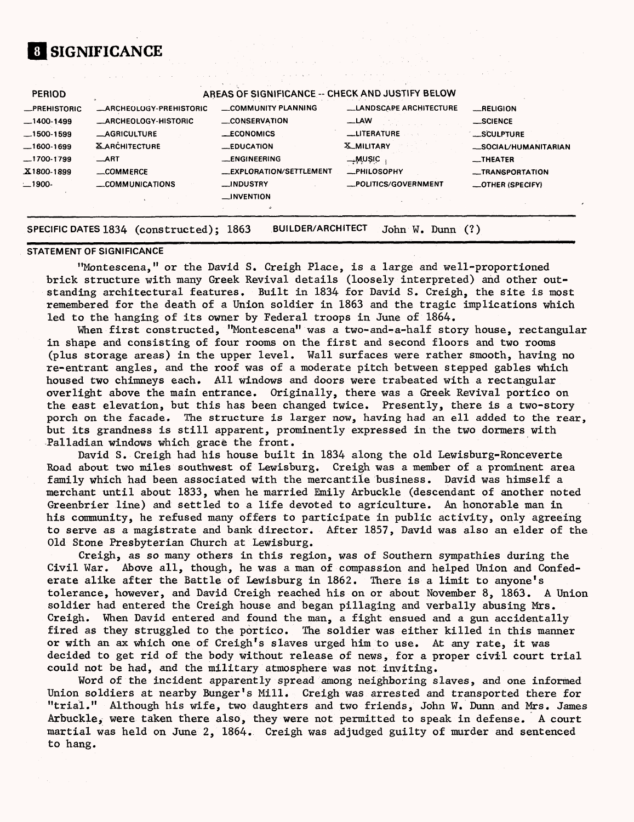# **1 SIGNIFICANCE**

| <b>PERIOD</b>       | AREAS OF SIGNIFICANCE -- CHECK AND JUSTIFY BELOW |                         |                               |                         |
|---------------------|--------------------------------------------------|-------------------------|-------------------------------|-------------------------|
| <b>_PREHISTORIC</b> | <b>_ARCHEOLOGY-PREHISTORIC</b>                   | COMMUNITY PLANNING      | <b>LANDSCAPE ARCHITECTURE</b> | $-MELIGION$             |
| $-1400-1499$        | <b>_ARCHEOLOGY-HISTORIC</b>                      | <b>CONSERVATION</b>     | $-LAW$                        | _SCIENCE                |
| $-1500 - 1599$      | <b>_AGRICULTURE</b>                              | <b>__ECONOMICS</b>      | <b>LLITERATURE</b>            | <b>SCULPTURE</b>        |
| $-1600-1699$        | <b>X ARCHITECTURE</b>                            | <b>EDUCATION</b>        | <b>X_MILITARY</b>             | _SOCIAL/HUMANITARIAN    |
| $-1700-1799$        | $\_ART$                                          | <b>_ENGINEERING</b>     | — Muşic                       | <b>__THEATER</b>        |
| X1800-1899          | COMMERCE                                         | _EXPLORATION/SETTLEMENT | -PHILOSOPHY                   | __TRANSPORTATION        |
| $-1900-$            | COMMUNICATIONS                                   | <b>__INDUSTRY</b>       | _POLITICS/GOVERNMENT          | <b>LOTHER (SPECIFY)</b> |
|                     |                                                  | $\equiv$ NVENTION       |                               |                         |
|                     |                                                  |                         |                               |                         |

الموارد والأوار والموارد

#### **SPECIFIC DATES 1834 (constructed); 1863 BUILDER/ARCHITECT John W. Dunn (?)**

#### **STATEMENT OF SIGNIFICANCE**

"Montescena," or the David S. Creigh Place, is a large and well-proportioned brick structure with many Greek Revival details (loosely interpreted) and other outstanding architectural features. Built in 1834 for David S. Creigh, the site is most remembered for the death of a Union soldier in 1863 and the tragic implications which led to the hanging of its owner by Federal troops in June of 1864.

When first constructed, "Montescena" was a two-and-a-half story house, rectangular in shape and consisting of four rooms on the first and second floors and two rooms (plus storage areas) in the upper level. Wall surfaces were rather smooth, having no re-entrant angles, and the roof was of a moderate pitch between stepped gables which housed two chimneys each. All windows and doors were trabeated with a rectangular overlight above the main entrance. Originally, there was a Greek Revival portico on the east elevation, but this has been changed twice. Presently, there is a two-story porch on the facade. The structure is larger now, having had an ell added to the rear, but its grandness is still apparent, prominently expressed in the two dormers with Palladian windows which grace the front.

David S. Creigh had his house built in 1834 along the old Lewisburg-Ronceverte Road about two miles southwest of Lewisburg. Creigh was a member of a prominent area family which had been associated with the mercantile business. David was himself a merchant until about 1833, when he married Emily Arbuckle (descendant of another noted Greenbrier line) and settled to a life devoted to agriculture. An honorable man in his community, he refused many offers to participate in public activity, only agreeing to serve as a magistrate and bank director. After 1857, David was also an elder of the Old Stone Presbyterian Church at Lewisburg.

Creigh, as so many others in this region, was of Southern sympathies during the Civil War. Above all, though, he was a man of compassion and helped Union and Confederate alike after the Battle of Lewisburg in 1862. There is a limit to anyone's tolerance, however, and David Creigh reached his on or about November 8, 1863. A Union soldier had entered the Creigh house and began pillaging and verbally abusing Mrs. Creigh. When David entered and found the man, a fight ensued and a gun accidentally fired as they struggled to the portico. The soldier was either killed in this manner or with an ax which one of Creigh's slaves urged him to use. At any rate, it was decided to get rid of the body without release of news, for a proper civil court trial could not be had, and the military atmosphere was not inviting.

Word of the incident apparently spread among neighboring slaves, and one informed Union soldiers at nearby Bunger's Mill. Creigh was arrested and transported there for "trial." Although his wife, two daughters and two friends, John W. Dunn and Mrs. James Arbuckle, were taken there also, they were not permitted to speak in defense. A court martial was held on June 2, 1864. Creigh was adjudged guilty of murder and sentenced to hang.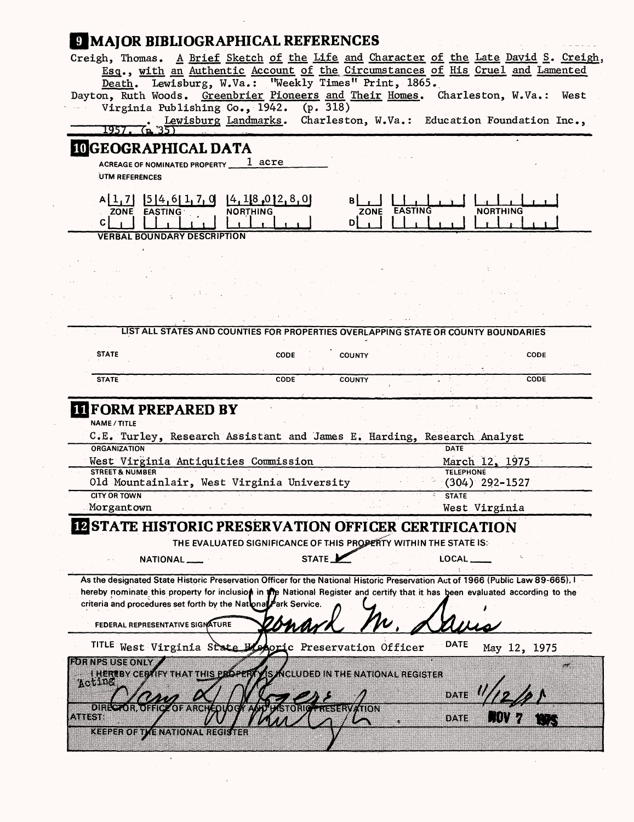# **IMAJOR BIBLIOGRAPHICAL REFERENCES**

| Creigh, Thomas. A Brief Sketch of the Life and Character of the Late David S. Creigh,                                                   |                                               |
|-----------------------------------------------------------------------------------------------------------------------------------------|-----------------------------------------------|
| Esq., with an Authentic Account of the Circumstances of His Cruel and Lamented                                                          |                                               |
| Lewisburg, W.Va.: "Weekly Times" Print, 1865.<br>Death.                                                                                 |                                               |
| Dayton, Ruth Woods. Greenbrier Pioneers and Their Homes. Charleston, W.Va.:                                                             | West                                          |
| Virginia Publishing Co., 1942. (p. 318)                                                                                                 |                                               |
| Lewisburg Landmarks.                                                                                                                    | Charleston, W.Va.: Education Foundation Inc., |
| <b>IOGEOGRAPHICAL DATA</b>                                                                                                              |                                               |
| 1 acre<br><b>ACREAGE OF NOMINATED PROPERTY</b>                                                                                          |                                               |
| UTM REFERENCES                                                                                                                          |                                               |
|                                                                                                                                         |                                               |
| $A\begin{bmatrix} 1 & 7 \\ 2 & 1 \end{bmatrix}$ $\begin{bmatrix} 5 & 4 & 6 \\ 1 & 7 & 0 \\ 1 & 18 & 0 \\ 2 & 1 & 8 \end{bmatrix}$<br>вI |                                               |
| ZONE EASTING<br>$D_{1}$<br>$\mathsf{C}$                                                                                                 | <b>NORTHING</b>                               |
| <b>VERBAL BOUNDARY DESCRIPTION</b>                                                                                                      |                                               |
|                                                                                                                                         |                                               |
|                                                                                                                                         |                                               |
|                                                                                                                                         |                                               |
|                                                                                                                                         |                                               |
|                                                                                                                                         |                                               |
|                                                                                                                                         |                                               |
| LIST ALL STATES AND COUNTIES FOR PROPERTIES OVERLAPPING STATE OR COUNTY BOUNDARIES                                                      |                                               |
|                                                                                                                                         |                                               |
| <b>STATE</b><br><b>COUNTY</b><br><b>CODE</b>                                                                                            | CODE                                          |
| <b>COUNTY</b><br>CODE<br><b>STATE</b>                                                                                                   | CODE                                          |
|                                                                                                                                         |                                               |
|                                                                                                                                         |                                               |
|                                                                                                                                         |                                               |
| <b>III FORM PREPARED BY</b><br>NAME / TITLE                                                                                             |                                               |
|                                                                                                                                         |                                               |
| C.E. Turley, Research Assistant and James E. Harding, Research Analyst<br>ORGANIZATION                                                  | DATE                                          |
| West Virginia Antiquities Commission                                                                                                    | March 12, 1975                                |
| <b>STREET &amp; NUMBER</b>                                                                                                              | <b>TELEPHONE</b>                              |
| Old Mountainlair, West Virginia University<br><b>CITY OR TOWN</b>                                                                       | $(304)$ 292-1527<br><b>STATE</b>              |
| Morgantown                                                                                                                              | West Virginia                                 |
|                                                                                                                                         |                                               |
| <b>IN STATE HISTORIC PRESERVATION OFFICER CERTIFICATION</b>                                                                             |                                               |
| THE EVALUATED SIGNIFICANCE OF THIS PROPERTY WITHIN THE STATE IS:                                                                        |                                               |
| STATE <sup>1</sup><br>NATIONAL ___                                                                                                      | LOCAL                                         |
| As the designated State Historic Preservation Officer for the National Historic Preservation Act of 1966 (Public Law 89-665).           |                                               |
| hereby nominate this property for inclusion in the National Register and certify that it has been evaluated according to the            |                                               |
| criteria and procedures set forth by the National Park Service.                                                                         |                                               |
| FEDERAL REPRESENTATIVE SIGNATURE                                                                                                        |                                               |
|                                                                                                                                         |                                               |
| TITLE West Virginia State Latoric Preservation Officer                                                                                  | DATE<br>May 12, 1975                          |
| <b>FOR NPS USE ONLY</b>                                                                                                                 |                                               |
| <b>HEREBY CERAIFY THAT THIS ERGPERTY IS ACLUDED IN THE NATIONAL REGISTER</b><br>notinë                                                  |                                               |
|                                                                                                                                         | DATE.                                         |
| 8188<br>401 WARROLD I SHELL WAR                                                                                                         |                                               |
| ATIST                                                                                                                                   | 87.883                                        |
| <b>KEEPER OF TVE NATIONAL</b>                                                                                                           |                                               |